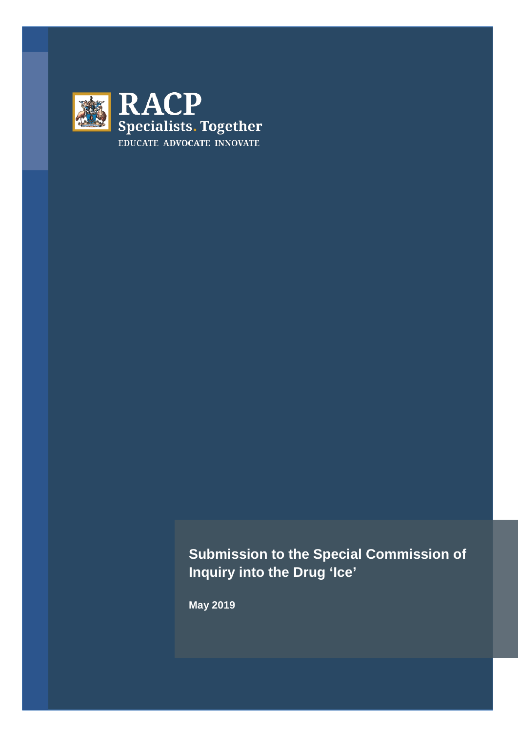

# **Submission to the Special Commission of Inquiry into the Drug 'Ice'**

**May 2019**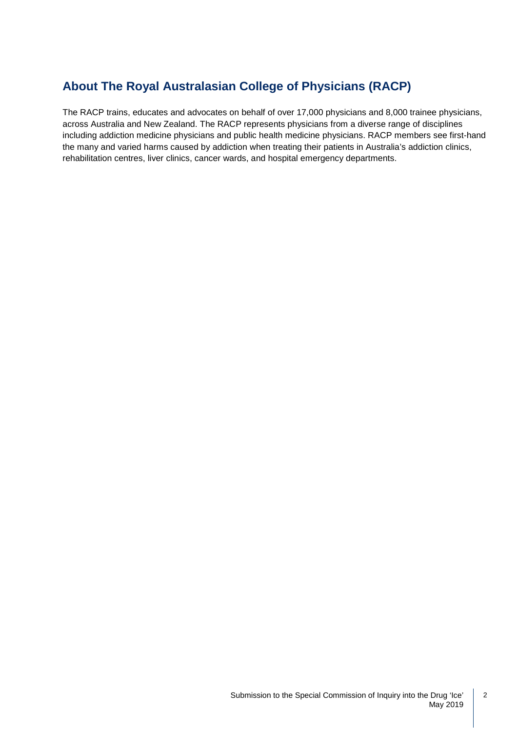## **About The Royal Australasian College of Physicians (RACP)**

The RACP trains, educates and advocates on behalf of over 17,000 physicians and 8,000 trainee physicians, across Australia and New Zealand. The RACP represents physicians from a diverse range of disciplines including addiction medicine physicians and public health medicine physicians. RACP members see first-hand the many and varied harms caused by addiction when treating their patients in Australia's addiction clinics, rehabilitation centres, liver clinics, cancer wards, and hospital emergency departments.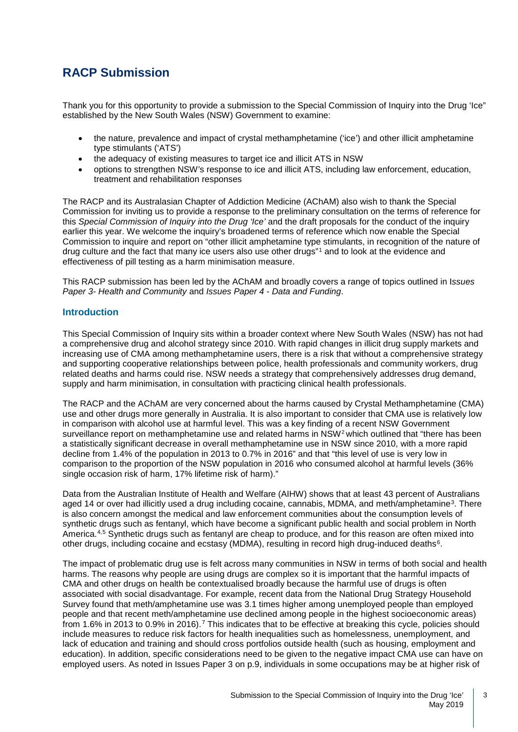### **RACP Submission**

Thank you for this opportunity to provide a submission to the Special Commission of Inquiry into the Drug 'Ice" established by the New South Wales (NSW) Government to examine:

- the nature, prevalence and impact of crystal methamphetamine ('ice') and other illicit amphetamine type stimulants ('ATS')
- the adequacy of existing measures to target ice and illicit ATS in NSW
- options to strengthen NSW's response to ice and illicit ATS, including law enforcement, education, treatment and rehabilitation responses

The RACP and its Australasian Chapter of Addiction Medicine (AChAM) also wish to thank the Special Commission for inviting us to provide a response to the preliminary consultation on the terms of reference for this *Special Commission of Inquiry into the Drug 'Ice'* and the draft proposals for the conduct of the inquiry earlier this year. We welcome the inquiry's broadened terms of reference which now enable the Special Commission to inquire and report on "other illicit amphetamine type stimulants, in recognition of the nature of drug culture and the fact that many ice users also use other drugs"[1](#page-10-0) and to look at the evidence and effectiveness of pill testing as a harm minimisation measure.

This RACP submission has been led by the AChAM and broadly covers a range of topics outlined in I*ssues Paper 3- Health and Community* and *Issues Paper 4 - Data and Funding*.

#### **Introduction**

This Special Commission of Inquiry sits within a broader context where New South Wales (NSW) has not had a comprehensive drug and alcohol strategy since 2010. With rapid changes in illicit drug supply markets and increasing use of CMA among methamphetamine users, there is a risk that without a comprehensive strategy and supporting cooperative relationships between police, health professionals and community workers, drug related deaths and harms could rise. NSW needs a strategy that comprehensively addresses drug demand, supply and harm minimisation, in consultation with practicing clinical health professionals.

The RACP and the AChAM are very concerned about the harms caused by Crystal Methamphetamine (CMA) use and other drugs more generally in Australia. It is also important to consider that CMA use is relatively low in comparison with alcohol use at harmful level. This was a key finding of a recent NSW Government surveillance report on methamphetamine use and related harms in NSW<sup>[2](#page-10-1)</sup> which outlined that "there has been a statistically significant decrease in overall methamphetamine use in NSW since 2010, with a more rapid decline from 1.4% of the population in 2013 to 0.7% in 2016" and that "this level of use is very low in comparison to the proportion of the NSW population in 2016 who consumed alcohol at harmful levels (36% single occasion risk of harm, 17% lifetime risk of harm)."

Data from the Australian Institute of Health and Welfare (AIHW) shows that at least 43 percent of Australians aged 14 or over had illicitly used a drug including cocaine, cannabis, MDMA, and meth/amphetamine<sup>[3](#page-10-2)</sup>. There is also concern amongst the medical and law enforcement communities about the consumption levels of synthetic drugs such as fentanyl, which have become a significant public health and social problem in North America.[4,](#page-10-3)[5](#page-10-4) Synthetic drugs such as fentanyl are cheap to produce, and for this reason are often mixed into other drugs, including cocaine and ecstasy (MDMA), resulting in record high drug-induced deaths[6.](#page-10-5)

The impact of problematic drug use is felt across many communities in NSW in terms of both social and health harms. The reasons why people are using drugs are complex so it is important that the harmful impacts of CMA and other drugs on health be contextualised broadly because the harmful use of drugs is often associated with social disadvantage. For example, recent data from the National Drug Strategy Household Survey found that meth/amphetamine use was 3.1 times higher among unemployed people than employed people and that recent meth/amphetamine use declined among people in the highest socioeconomic areas) from 1.6% in 2013 to 0.9% in 2016).[7](#page-10-6) This indicates that to be effective at breaking this cycle, policies should include measures to reduce risk factors for health inequalities such as homelessness, unemployment, and lack of education and training and should cross portfolios outside health (such as housing, employment and education). In addition, specific considerations need to be given to the negative impact CMA use can have on employed users. As noted in Issues Paper 3 on p.9, individuals in some occupations may be at higher risk of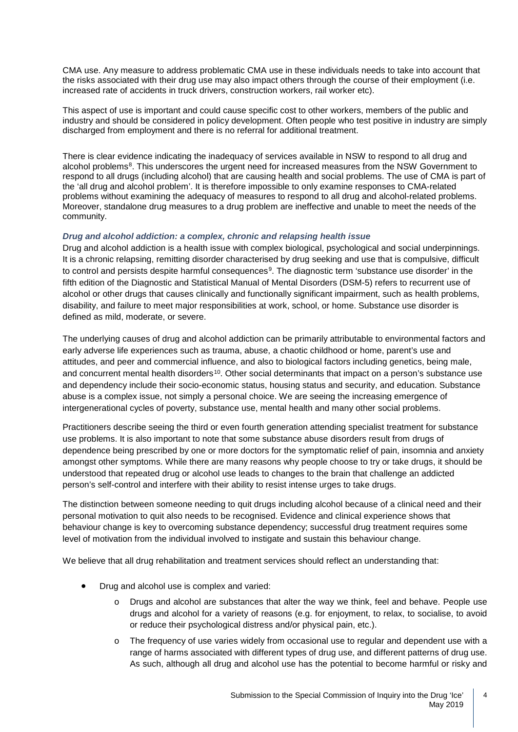CMA use. Any measure to address problematic CMA use in these individuals needs to take into account that the risks associated with their drug use may also impact others through the course of their employment (i.e. increased rate of accidents in truck drivers, construction workers, rail worker etc).

This aspect of use is important and could cause specific cost to other workers, members of the public and industry and should be considered in policy development. Often people who test positive in industry are simply discharged from employment and there is no referral for additional treatment.

There is clear evidence indicating the inadequacy of services available in NSW to respond to all drug and alcohol problems<sup>8</sup>. This underscores the urgent need for increased measures from the NSW Government to respond to all drugs (including alcohol) that are causing health and social problems. The use of CMA is part of the 'all drug and alcohol problem'. It is therefore impossible to only examine responses to CMA-related problems without examining the adequacy of measures to respond to all drug and alcohol-related problems. Moreover, standalone drug measures to a drug problem are ineffective and unable to meet the needs of the community.

#### *Drug and alcohol addiction: a complex, chronic and relapsing health issue*

Drug and alcohol addiction is a health issue with complex biological, psychological and social underpinnings. It is a chronic relapsing, remitting disorder characterised by drug seeking and use that is compulsive, difficult to control and persists despite harmful consequences<sup>[9](#page-11-1)</sup>. The diagnostic term 'substance use disorder' in the fifth edition of the Diagnostic and Statistical Manual of Mental Disorders (DSM-5) refers to recurrent use of alcohol or other drugs that causes clinically and functionally significant impairment, such as health problems, disability, and failure to meet major responsibilities at work, school, or home. Substance use disorder is defined as mild, moderate, or severe.

The underlying causes of drug and alcohol addiction can be primarily attributable to environmental factors and early adverse life experiences such as trauma, abuse, a chaotic childhood or home, parent's use and attitudes, and peer and commercial influence, and also to biological factors including genetics, being male, and concurrent mental health disorders<sup>[10](#page-11-2)</sup>. Other social determinants that impact on a person's substance use and dependency include their socio-economic status, housing status and security, and education. Substance abuse is a complex issue, not simply a personal choice. We are seeing the increasing emergence of intergenerational cycles of poverty, substance use, mental health and many other social problems.

Practitioners describe seeing the third or even fourth generation attending specialist treatment for substance use problems. It is also important to note that some substance abuse disorders result from drugs of dependence being prescribed by one or more doctors for the symptomatic relief of pain, insomnia and anxiety amongst other symptoms. While there are many reasons why people choose to try or take drugs, it should be understood that repeated drug or alcohol use leads to changes to the brain that challenge an addicted person's self-control and interfere with their ability to resist intense urges to take drugs.

The distinction between someone needing to quit drugs including alcohol because of a clinical need and their personal motivation to quit also needs to be recognised. Evidence and clinical experience shows that behaviour change is key to overcoming substance dependency; successful drug treatment requires some level of motivation from the individual involved to instigate and sustain this behaviour change.

We believe that all drug rehabilitation and treatment services should reflect an understanding that:

- Drug and alcohol use is complex and varied:
	- o Drugs and alcohol are substances that alter the way we think, feel and behave. People use drugs and alcohol for a variety of reasons (e.g. for enjoyment, to relax, to socialise, to avoid or reduce their psychological distress and/or physical pain, etc.).
	- o The frequency of use varies widely from occasional use to regular and dependent use with a range of harms associated with different types of drug use, and different patterns of drug use. As such, although all drug and alcohol use has the potential to become harmful or risky and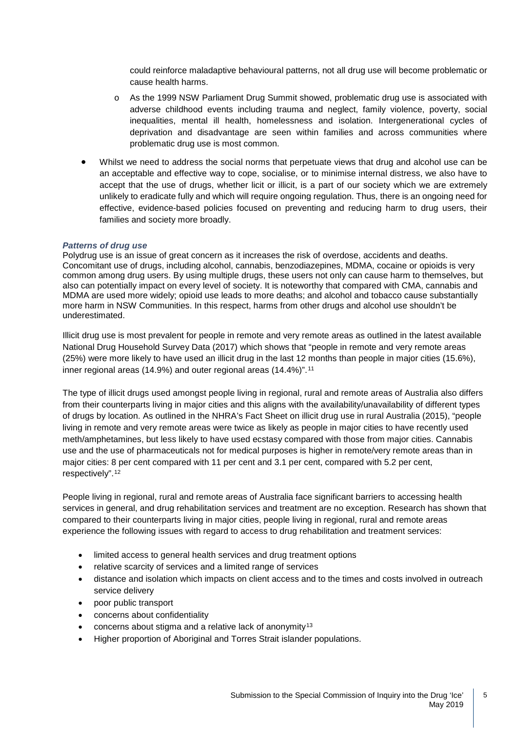could reinforce maladaptive behavioural patterns, not all drug use will become problematic or cause health harms.

- o As the 1999 NSW Parliament Drug Summit showed, problematic drug use is associated with adverse childhood events including trauma and neglect, family violence, poverty, social inequalities, mental ill health, homelessness and isolation. Intergenerational cycles of deprivation and disadvantage are seen within families and across communities where problematic drug use is most common.
- Whilst we need to address the social norms that perpetuate views that drug and alcohol use can be an acceptable and effective way to cope, socialise, or to minimise internal distress, we also have to accept that the use of drugs, whether licit or illicit, is a part of our society which we are extremely unlikely to eradicate fully and which will require ongoing regulation. Thus, there is an ongoing need for effective, evidence-based policies focused on preventing and reducing harm to drug users, their families and society more broadly.

#### *Patterns of drug use*

Polydrug use is an issue of great concern as it increases the risk of overdose, accidents and deaths. Concomitant use of drugs, including alcohol, cannabis, benzodiazepines, MDMA, cocaine or opioids is very common among drug users. By using multiple drugs, these users not only can cause harm to themselves, but also can potentially impact on every level of society. It is noteworthy that compared with CMA, cannabis and MDMA are used more widely; opioid use leads to more deaths; and alcohol and tobacco cause substantially more harm in NSW Communities. In this respect, harms from other drugs and alcohol use shouldn't be underestimated.

Illicit drug use is most prevalent for people in remote and very remote areas as outlined in the latest available National Drug Household Survey Data (2017) which shows that "people in remote and very remote areas (25%) were more likely to have used an illicit drug in the last 12 months than people in major cities (15.6%), inner regional areas (14.9%) and outer regional areas (14.4%)".[11](#page-11-3)

The type of illicit drugs used amongst people living in regional, rural and remote areas of Australia also differs from their counterparts living in major cities and this aligns with the availability/unavailability of different types of drugs by location. As outlined in the NHRA's Fact Sheet on illicit drug use in rural Australia (2015), "people living in remote and very remote areas were twice as likely as people in major cities to have recently used meth/amphetamines, but less likely to have used ecstasy compared with those from major cities. Cannabis use and the use of pharmaceuticals not for medical purposes is higher in remote/very remote areas than in major cities: 8 per cent compared with 11 per cent and 3.1 per cent, compared with 5.2 per cent, respectively".[12](#page-11-4)

People living in regional, rural and remote areas of Australia face significant barriers to accessing health services in general, and drug rehabilitation services and treatment are no exception. Research has shown that compared to their counterparts living in major cities, people living in regional, rural and remote areas experience the following issues with regard to access to drug rehabilitation and treatment services:

- limited access to general health services and drug treatment options
- relative scarcity of services and a limited range of services
- distance and isolation which impacts on client access and to the times and costs involved in outreach service delivery
- poor public transport
- concerns about confidentiality
- concerns about stigma and a relative lack of anonymity[13](#page-11-5)
- Higher proportion of Aboriginal and Torres Strait islander populations.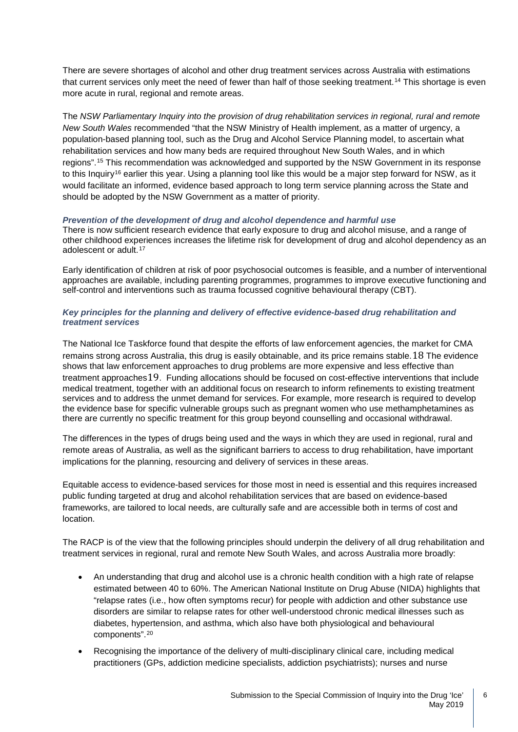There are severe shortages of alcohol and other drug treatment services across Australia with estimations that current services only meet the need of fewer than half of those seeking treatment.<sup>[14](#page-11-6)</sup> This shortage is even more acute in rural, regional and remote areas.

The *NSW Parliamentary Inquiry into the provision of drug rehabilitation services in regional, rural and remote New South Wales* recommended "that the NSW Ministry of Health implement, as a matter of urgency, a population-based planning tool, such as the Drug and Alcohol Service Planning model, to ascertain what rehabilitation services and how many beds are required throughout New South Wales, and in which regions".[15](#page-11-7) This recommendation was acknowledged and supported by the NSW Government in its response to this Inquiry<sup>[16](#page-11-8)</sup> earlier this year. Using a planning tool like this would be a major step forward for NSW, as it would facilitate an informed, evidence based approach to long term service planning across the State and should be adopted by the NSW Government as a matter of priority.

#### *Prevention of the development of drug and alcohol dependence and harmful use*

There is now sufficient research evidence that early exposure to drug and alcohol misuse, and a range of other childhood experiences increases the lifetime risk for development of drug and alcohol dependency as an adolescent or adult.<sup>[17](#page-11-9)</sup>

Early identification of children at risk of poor psychosocial outcomes is feasible, and a number of interventional approaches are available, including parenting programmes, programmes to improve executive functioning and self-control and interventions such as trauma focussed cognitive behavioural therapy (CBT).

#### *Key principles for the planning and delivery of effective evidence-based drug rehabilitation and treatment services*

The National Ice Taskforce found that despite the efforts of law enforcement agencies, the market for CMA remains strong across Australia, this drug is easily obtainable, and its price remains stable.[18](#page-11-10) The evidence shows that law enforcement approaches to drug problems are more expensive and less effective than treatment approaches[19](#page-11-11). Funding allocations should be focused on cost-effective interventions that include medical treatment, together with an additional focus on research to inform refinements to existing treatment services and to address the unmet demand for services. For example, more research is required to develop the evidence base for specific vulnerable groups such as pregnant women who use methamphetamines as there are currently no specific treatment for this group beyond counselling and occasional withdrawal.

The differences in the types of drugs being used and the ways in which they are used in regional, rural and remote areas of Australia, as well as the significant barriers to access to drug rehabilitation, have important implications for the planning, resourcing and delivery of services in these areas.

Equitable access to evidence-based services for those most in need is essential and this requires increased public funding targeted at drug and alcohol rehabilitation services that are based on evidence-based frameworks, are tailored to local needs, are culturally safe and are accessible both in terms of cost and location.

The RACP is of the view that the following principles should underpin the delivery of all drug rehabilitation and treatment services in regional, rural and remote New South Wales, and across Australia more broadly:

- An understanding that drug and alcohol use is a chronic health condition with a high rate of relapse estimated between 40 to 60%. The American National Institute on Drug Abuse (NIDA) highlights that "relapse rates (i.e., how often symptoms recur) for people with addiction and other substance use disorders are similar to relapse rates for other well-understood chronic medical illnesses such as diabetes, hypertension, and asthma, which also have both physiological and behavioural components".[20](#page-11-12)
- Recognising the importance of the delivery of multi-disciplinary clinical care, including medical practitioners (GPs, addiction medicine specialists, addiction psychiatrists); nurses and nurse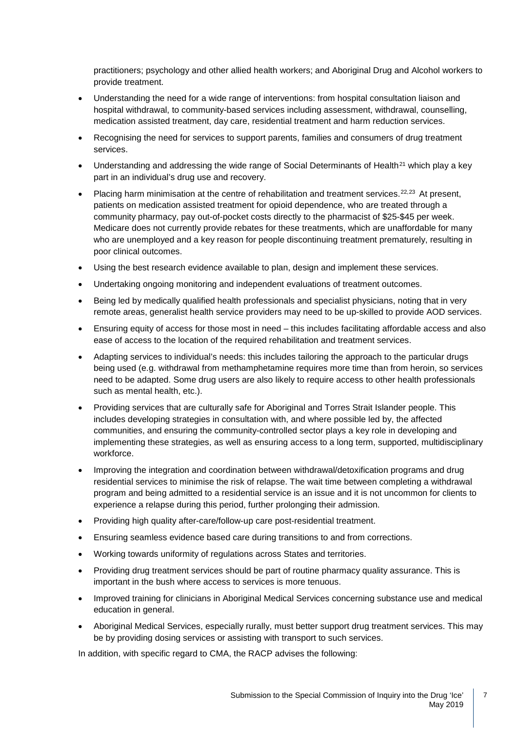practitioners; psychology and other allied health workers; and Aboriginal Drug and Alcohol workers to provide treatment.

- Understanding the need for a wide range of interventions: from hospital consultation liaison and hospital withdrawal, to community-based services including assessment, withdrawal, counselling, medication assisted treatment, day care, residential treatment and harm reduction services.
- Recognising the need for services to support parents, families and consumers of drug treatment services.
- Understanding and addressing the wide range of Social Determinants of Health<sup>[21](#page-11-13)</sup> which play a key part in an individual's drug use and recovery.
- Placing harm minimisation at the centre of rehabilitation and treatment services.<sup>[22,](#page-11-14)[23](#page-11-15)</sup> At present, patients on medication assisted treatment for opioid dependence, who are treated through a community pharmacy, pay out-of-pocket costs directly to the pharmacist of \$25-\$45 per week. Medicare does not currently provide rebates for these treatments, which are unaffordable for many who are unemployed and a key reason for people discontinuing treatment prematurely, resulting in poor clinical outcomes.
- Using the best research evidence available to plan, design and implement these services.
- Undertaking ongoing monitoring and independent evaluations of treatment outcomes.
- Being led by medically qualified health professionals and specialist physicians, noting that in very remote areas, generalist health service providers may need to be up-skilled to provide AOD services.
- Ensuring equity of access for those most in need this includes facilitating affordable access and also ease of access to the location of the required rehabilitation and treatment services.
- Adapting services to individual's needs: this includes tailoring the approach to the particular drugs being used (e.g. withdrawal from methamphetamine requires more time than from heroin, so services need to be adapted. Some drug users are also likely to require access to other health professionals such as mental health, etc.).
- Providing services that are culturally safe for Aboriginal and Torres Strait Islander people. This includes developing strategies in consultation with, and where possible led by, the affected communities, and ensuring the community-controlled sector plays a key role in developing and implementing these strategies, as well as ensuring access to a long term, supported, multidisciplinary workforce.
- Improving the integration and coordination between withdrawal/detoxification programs and drug residential services to minimise the risk of relapse. The wait time between completing a withdrawal program and being admitted to a residential service is an issue and it is not uncommon for clients to experience a relapse during this period, further prolonging their admission.
- Providing high quality after-care/follow-up care post-residential treatment.
- Ensuring seamless evidence based care during transitions to and from corrections.
- Working towards uniformity of regulations across States and territories.
- Providing drug treatment services should be part of routine pharmacy quality assurance. This is important in the bush where access to services is more tenuous.
- Improved training for clinicians in Aboriginal Medical Services concerning substance use and medical education in general.
- Aboriginal Medical Services, especially rurally, must better support drug treatment services. This may be by providing dosing services or assisting with transport to such services.

In addition, with specific regard to CMA, the RACP advises the following: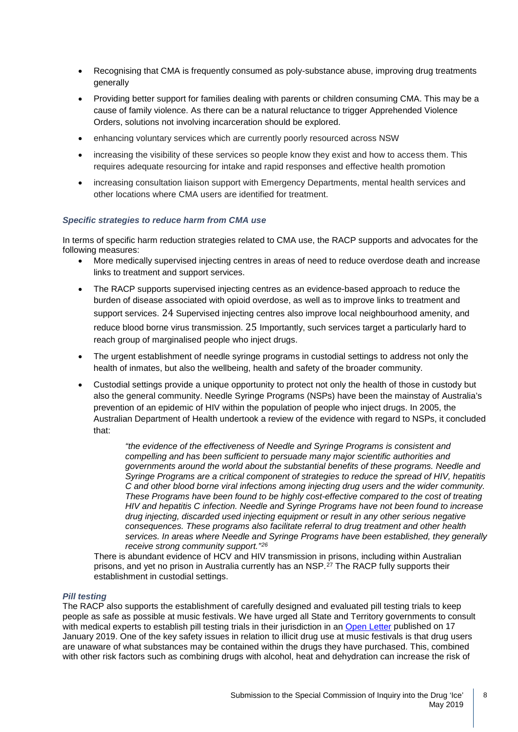- Recognising that CMA is frequently consumed as poly-substance abuse, improving drug treatments generally
- Providing better support for families dealing with parents or children consuming CMA. This may be a cause of family violence. As there can be a natural reluctance to trigger Apprehended Violence Orders, solutions not involving incarceration should be explored.
- enhancing voluntary services which are currently poorly resourced across NSW
- increasing the visibility of these services so people know they exist and how to access them. This requires adequate resourcing for intake and rapid responses and effective health promotion
- increasing consultation liaison support with Emergency Departments, mental health services and other locations where CMA users are identified for treatment.

#### *Specific strategies to reduce harm from CMA use*

In terms of specific harm reduction strategies related to CMA use, the RACP supports and advocates for the following measures:

- More medically supervised injecting centres in areas of need to reduce overdose death and increase links to treatment and support services.
- The RACP supports supervised injecting centres as an evidence-based approach to reduce the burden of disease associated with opioid overdose, as well as to improve links to treatment and support services. [24](#page-11-16) Supervised injecting centres also improve local neighbourhood amenity, and reduce blood borne virus transmission. [25](#page-11-17) Importantly, such services target a particularly hard to reach group of marginalised people who inject drugs.
- The urgent establishment of needle syringe programs in custodial settings to address not only the health of inmates, but also the wellbeing, health and safety of the broader community.
- Custodial settings provide a unique opportunity to protect not only the health of those in custody but also the general community. Needle Syringe Programs (NSPs) have been the mainstay of Australia's prevention of an epidemic of HIV within the population of people who inject drugs. In 2005, the Australian Department of Health undertook a review of the evidence with regard to NSPs, it concluded that:

*"the evidence of the effectiveness of Needle and Syringe Programs is consistent and compelling and has been sufficient to persuade many major scientific authorities and governments around the world about the substantial benefits of these programs. Needle and Syringe Programs are a critical component of strategies to reduce the spread of HIV, hepatitis C and other blood borne viral infections among injecting drug users and the wider community. These Programs have been found to be highly cost-effective compared to the cost of treating HIV and hepatitis C infection. Needle and Syringe Programs have not been found to increase drug injecting, discarded used injecting equipment or result in any other serious negative consequences. These programs also facilitate referral to drug treatment and other health services. In areas where Needle and Syringe Programs have been established, they generally receive strong community support."[26](#page-11-18)*

There is abundant evidence of HCV and HIV transmission in prisons, including within Australian prisons, and yet no prison in Australia currently has an NSP.[27](#page-11-19) The RACP fully supports their establishment in custodial settings.

#### *Pill testing*

The RACP also supports the establishment of carefully designed and evaluated pill testing trials to keep people as safe as possible at music festivals. We have urged all State and Territory governments to consult with medical experts to establish pill testing trials in their jurisdiction in an [Open Letter](https://www.racp.edu.au/docs/default-source/default-document-library/190117_final_openletter_premierandchiefministers.pdf?sfvrsn=7f4141a_0) published on 17 January 2019. One of the key safety issues in relation to illicit drug use at music festivals is that drug users are unaware of what substances may be contained within the drugs they have purchased. This, combined with other risk factors such as combining drugs with alcohol, heat and dehydration can increase the risk of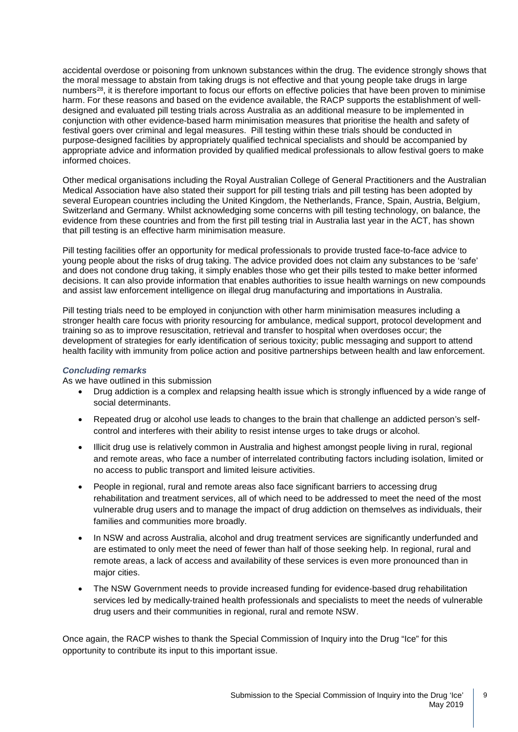accidental overdose or poisoning from unknown substances within the drug. The evidence strongly shows that the moral message to abstain from taking drugs is not effective and that young people take drugs in large numbers<sup>28</sup>, it is therefore important to focus our efforts on effective policies that have been proven to minimise harm. For these reasons and based on the evidence available, the RACP supports the establishment of welldesigned and evaluated pill testing trials across Australia as an additional measure to be implemented in conjunction with other evidence-based harm minimisation measures that prioritise the health and safety of festival goers over criminal and legal measures. Pill testing within these trials should be conducted in purpose-designed facilities by appropriately qualified technical specialists and should be accompanied by appropriate advice and information provided by qualified medical professionals to allow festival goers to make informed choices.

Other medical organisations including the Royal Australian College of General Practitioners and the Australian Medical Association have also stated their support for pill testing trials and pill testing has been adopted by several European countries including the United Kingdom, the Netherlands, France, Spain, Austria, Belgium, Switzerland and Germany. Whilst acknowledging some concerns with pill testing technology, on balance, the evidence from these countries and from the first pill testing trial in Australia last year in the ACT, has shown that pill testing is an effective harm minimisation measure.

Pill testing facilities offer an opportunity for medical professionals to provide trusted face-to-face advice to young people about the risks of drug taking. The advice provided does not claim any substances to be 'safe' and does not condone drug taking, it simply enables those who get their pills tested to make better informed decisions. It can also provide information that enables authorities to issue health warnings on new compounds and assist law enforcement intelligence on illegal drug manufacturing and importations in Australia.

Pill testing trials need to be employed in conjunction with other harm minimisation measures including a stronger health care focus with priority resourcing for ambulance, medical support, protocol development and training so as to improve resuscitation, retrieval and transfer to hospital when overdoses occur; the development of strategies for early identification of serious toxicity; public messaging and support to attend health facility with immunity from police action and positive partnerships between health and law enforcement.

#### *Concluding remarks*

As we have outlined in this submission

- Drug addiction is a complex and relapsing health issue which is strongly influenced by a wide range of social determinants.
- Repeated drug or alcohol use leads to changes to the brain that challenge an addicted person's selfcontrol and interferes with their ability to resist intense urges to take drugs or alcohol.
- Illicit drug use is relatively common in Australia and highest amongst people living in rural, regional and remote areas, who face a number of interrelated contributing factors including isolation, limited or no access to public transport and limited leisure activities.
- People in regional, rural and remote areas also face significant barriers to accessing drug rehabilitation and treatment services, all of which need to be addressed to meet the need of the most vulnerable drug users and to manage the impact of drug addiction on themselves as individuals, their families and communities more broadly.
- In NSW and across Australia, alcohol and drug treatment services are significantly underfunded and are estimated to only meet the need of fewer than half of those seeking help. In regional, rural and remote areas, a lack of access and availability of these services is even more pronounced than in major cities.
- The NSW Government needs to provide increased funding for evidence-based drug rehabilitation services led by medically-trained health professionals and specialists to meet the needs of vulnerable drug users and their communities in regional, rural and remote NSW.

Once again, the RACP wishes to thank the Special Commission of Inquiry into the Drug "Ice" for this opportunity to contribute its input to this important issue.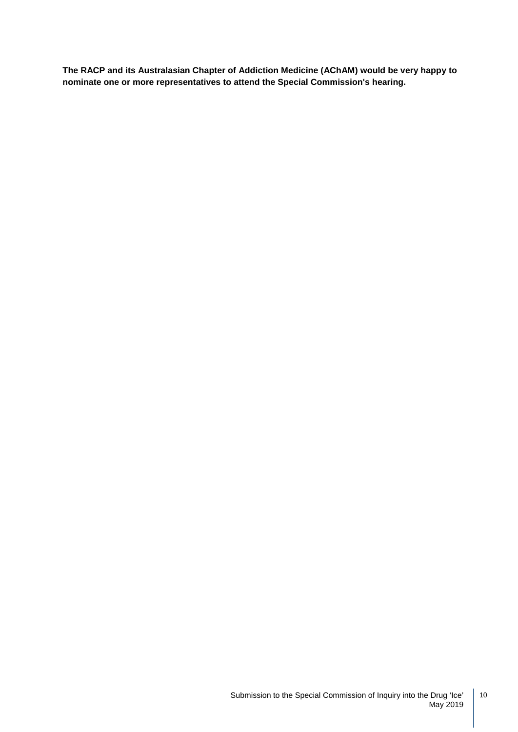**The RACP and its Australasian Chapter of Addiction Medicine (AChAM) would be very happy to nominate one or more representatives to attend the Special Commission's hearing.**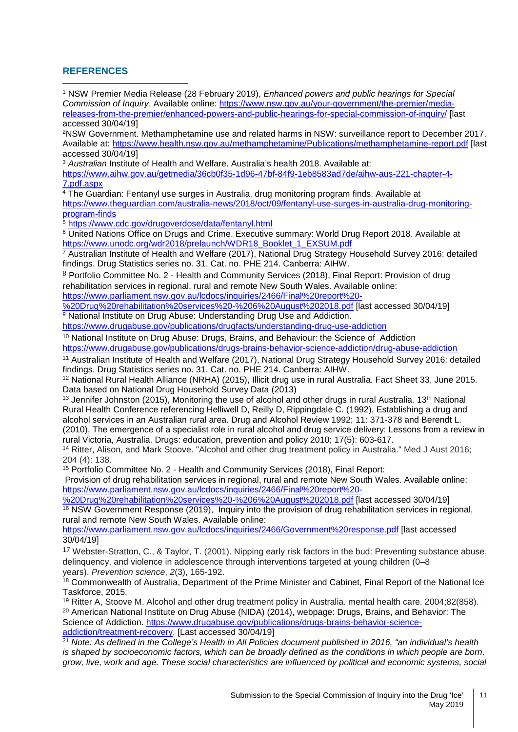### **REFERENCES**

<span id="page-10-0"></span><sup>1</sup> NSW Premier Media Release (28 February 2019), *Enhanced powers and public hearings for Special Commission of Inquiry*. Available online: [https://www.nsw.gov.au/your-government/the-premier/media](https://www.nsw.gov.au/your-government/the-premier/media-releases-from-the-premier/enhanced-powers-and-public-hearings-for-special-commission-of-inquiry/)[releases-from-the-premier/enhanced-powers-and-public-hearings-for-special-commission-of-inquiry/](https://www.nsw.gov.au/your-government/the-premier/media-releases-from-the-premier/enhanced-powers-and-public-hearings-for-special-commission-of-inquiry/) [last accessed 30/04/19]  $\overline{\phantom{a}}$ 

<span id="page-10-1"></span>2NSW Government. Methamphetamine use and related harms in NSW: surveillance report to December 2017. Available at:<https://www.health.nsw.gov.au/methamphetamine/Publications/methamphetamine-report.pdf> [last accessed 30/04/19]

<span id="page-10-2"></span><sup>3</sup> *Australian* Institute of Health and Welfare. Australia's health 2018. Available at:

[https://www.aihw.gov.au/getmedia/36cb0f35-1d96-47bf-84f9-1eb8583ad7de/aihw-aus-221-chapter-4-](https://www.aihw.gov.au/getmedia/36cb0f35-1d96-47bf-84f9-1eb8583ad7de/aihw-aus-221-chapter-4-7.pdf.aspx) [7.pdf.aspx](https://www.aihw.gov.au/getmedia/36cb0f35-1d96-47bf-84f9-1eb8583ad7de/aihw-aus-221-chapter-4-7.pdf.aspx)

<span id="page-10-3"></span><sup>4</sup> The Guardian: Fentanyl use surges in Australia, drug monitoring program finds. Available at [https://www.theguardian.com/australia-news/2018/oct/09/fentanyl-use-surges-in-australia-drug-monitoring](https://www.theguardian.com/australia-news/2018/oct/09/fentanyl-use-surges-in-australia-drug-monitoring-program-finds)[program-finds](https://www.theguardian.com/australia-news/2018/oct/09/fentanyl-use-surges-in-australia-drug-monitoring-program-finds)

<span id="page-10-4"></span><sup>5</sup> <https://www.cdc.gov/drugoverdose/data/fentanyl.html>

<span id="page-10-5"></span><sup>6</sup> United Nations Office on Drugs and Crime. Executive summary: World Drug Report 2018*.* Available at [https://www.unodc.org/wdr2018/prelaunch/WDR18\\_Booklet\\_1\\_EXSUM.pdf](https://www.unodc.org/wdr2018/prelaunch/WDR18_Booklet_1_EXSUM.pdf)

<span id="page-10-6"></span><sup>7</sup> Australian Institute of Health and Welfare (2017), National Drug Strategy Household Survey 2016: detailed findings. Drug Statistics series no. 31. Cat. no. PHE 214. Canberra: AIHW.

8 Portfolio Committee No. 2 - Health and Community Services (2018), Final Report: Provision of drug rehabilitation services in regional, rural and remote New South Wales. Available online:

[https://www.parliament.nsw.gov.au/lcdocs/inquiries/2466/Final%20report%20-](https://www.parliament.nsw.gov.au/lcdocs/inquiries/2466/Final%20report%20-%20Drug%20rehabilitation%20services%20-%206%20August%202018.pdf)

[%20Drug%20rehabilitation%20services%20-%206%20August%202018.pdf](https://www.parliament.nsw.gov.au/lcdocs/inquiries/2466/Final%20report%20-%20Drug%20rehabilitation%20services%20-%206%20August%202018.pdf) [last accessed 30/04/19] <sup>9</sup> National Institute on Drug Abuse: Understanding Drug Use and Addiction.

<https://www.drugabuse.gov/publications/drugfacts/understanding-drug-use-addiction>

<sup>10</sup> National Institute on Drug Abuse: Drugs, Brains, and Behaviour; the Science of Addiction <https://www.drugabuse.gov/publications/drugs-brains-behavior-science-addiction/drug-abuse-addiction>

<sup>11</sup> Australian Institute of Health and Welfare (2017), National Drug Strategy Household Survey 2016: detailed findings. Drug Statistics series no. 31. Cat. no. PHE 214. Canberra: AIHW.

<sup>12</sup> National Rural Health Alliance (NRHA) (2015), Illicit drug use in rural Australia. Fact Sheet 33, June 2015. Data based on National Drug Household Survey Data (2013)

<sup>13</sup> Jennifer Johnston (2015), Monitoring the use of alcohol and other drugs in rural Australia. 13<sup>th</sup> National Rural Health Conference referencing Helliwell D, Reilly D, Rippingdale C. (1992), Establishing a drug and alcohol services in an Australian rural area. Drug and Alcohol Review 1992; 11: 371-378 and Berendt L. (2010), The emergence of a specialist role in rural alcohol and drug service delivery: Lessons from a review in rural Victoria, Australia. Drugs: education, prevention and policy 2010; 17(5): 603-617.

<sup>14</sup> Ritter, Alison, and Mark Stoove. "Alcohol and other drug treatment policy in Australia." Med J Aust 2016; 204 (4): 138.

<sup>15</sup> Portfolio Committee No. 2 - Health and Community Services (2018), Final Report:

Provision of drug rehabilitation services in regional, rural and remote New South Wales. Available online: [https://www.parliament.nsw.gov.au/lcdocs/inquiries/2466/Final%20report%20-](https://www.parliament.nsw.gov.au/lcdocs/inquiries/2466/Final%20report%20-%20Drug%20rehabilitation%20services%20-%206%20August%202018.pdf)

[%20Drug%20rehabilitation%20services%20-%206%20August%202018.pdf](https://www.parliament.nsw.gov.au/lcdocs/inquiries/2466/Final%20report%20-%20Drug%20rehabilitation%20services%20-%206%20August%202018.pdf) [last accessed 30/04/19] <sup>16</sup> NSW Government Response (2019), Inquiry into the provision of drug rehabilitation services in regional, rural and remote New South Wales. Available online:

<https://www.parliament.nsw.gov.au/lcdocs/inquiries/2466/Government%20response.pdf> [last accessed 30/04/19]

17 Webster-Stratton, C., & Taylor, T. (2001). Nipping early risk factors in the bud: Preventing substance abuse, delinquency, and violence in adolescence through interventions targeted at young children (0–8 years). *Prevention science*, *2*(3), 165-192.

18 Commonwealth of Australia, Department of the Prime Minister and Cabinet, Final Report of the National Ice Taskforce, 2015.

<sup>19</sup> Ritter A, Stoove M. Alcohol and other drug treatment policy in Australia. mental health care. 2004;82(858). <sup>20</sup> American National Institute on Drug Abuse (NIDA) (2014), webpage: Drugs, Brains, and Behavior: The Science of Addiction. [https://www.drugabuse.gov/publications/drugs-brains-behavior-science](https://www.drugabuse.gov/publications/drugs-brains-behavior-science-addiction/treatment-recovery)[addiction/treatment-recovery.](https://www.drugabuse.gov/publications/drugs-brains-behavior-science-addiction/treatment-recovery) [Last accessed 30/04/19]

<sup>21</sup> *Note: As defined in the College's Health in All Policies document published in 2016, "an individual's health is shaped by socioeconomic factors, which can be broadly defined as the conditions in which people are born, grow, live, work and age. These social characteristics are influenced by political and economic systems, social*